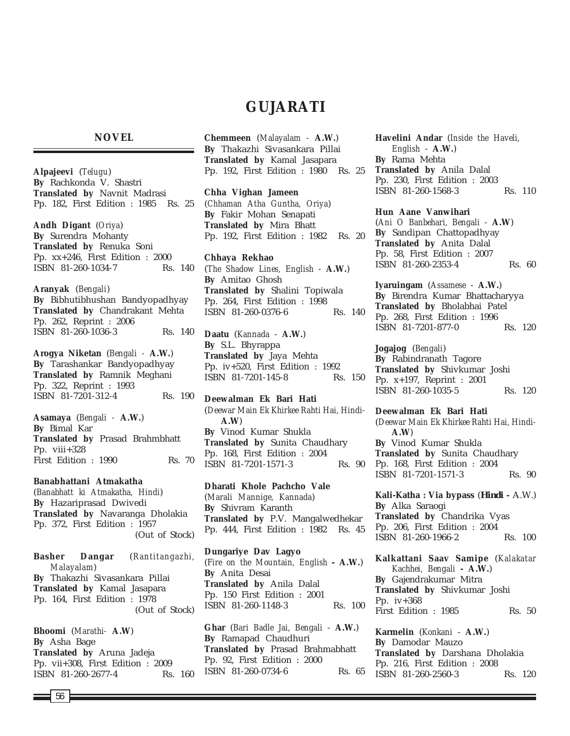# **GUJARATI**

## **NOVEL**

**Alpajeevi** (*Telugu*) **By** Rachkonda V. Shastri **Translated by** Navnit Madrasi Pp. 182, First Edition : 1985 Rs. 25

**Andh Digant** (*Oriya*) **By** Surendra Mohanty **Translated by** Renuka Soni Pp. xx+246, First Edition : 2000 ISBN 81-260-1034-7 Rs. 140

**Aranyak** (*Bengali*) **By** Bibhutibhushan Bandyopadhyay **Translated by** Chandrakant Mehta Pp. 262, Reprint : 2006 ISBN 81-260-1036-3 Rs. 140

**Arogya Niketan** (*Bengali -* **A.W.**) **By** Tarashankar Bandyopadhyay **Translated by** Ramnik Meghani Pp. 322, Reprint : 1993 ISBN 81-7201-312-4 Rs. 190

**Asamaya** (*Bengali -* **A.W.**) **By** Bimal Kar **Translated by** Prasad Brahmbhatt Pp. viii+328 First Edition : 1990 Rs. 70

**Banabhattani Atmakatha** (*Banabhatt ki Atmakatha, Hindi*) **By** Hazariprasad Dwivedi **Translated by** Navaranga Dholakia Pp. 372, First Edition : 1957 (Out of Stock)

**Basher Dangar** (*Rantitangazhi, Malayalam*) **By** Thakazhi Sivasankara Pillai **Translated by** Kamal Jasapara Pp. 164, First Edition : 1978 (Out of Stock)

**Bhoomi** (*Marathi-* **A.W**) **By** Asha Bage **Translated by** Aruna Jadeja Pp. vii+308, First Edition : 2009 ISBN 81-260-2677-4 Rs. 160 **Chemmeen** (*Malayalam -* **A.W.**) **By** Thakazhi Sivasankara Pillai **Translated by** Kamal Jasapara Pp. 192, First Edition : 1980 Rs. 25

**Chha Vighan Jameen** (*Chhaman Atha Guntha, Oriya*) **By** Fakir Mohan Senapati **Translated by** Mira Bhatt Pp. 192, First Edition : 1982 Rs. 20

**Chhaya Rekhao** (*The Shadow Lines, English* - **A.W.**) **By** Amitao Ghosh **Translated by** Shalini Topiwala Pp. 264, First Edition : 1998 ISBN 81-260-0376-6 Rs. 140

**Daatu** (*Kannada* - **A.W.**) **By** S.L. Bhyrappa **Translated by** Jaya Mehta Pp. iv+520, First Edition : 1992 ISBN 81-7201-145-8 Rs. 150

**Deewalman Ek Bari Hati** (*Deewar Main Ek Khirkee Rahti Hai, Hindi-***A.W**) **By** Vinod Kumar Shukla **Translated by** Sunita Chaudhary Pp. 168, First Edition : 2004 ISBN 81-7201-1571-3 Rs. 90

**Dharati Khole Pachcho Vale** (*Marali Mannige, Kannada*) **By** Shivram Karanth **Translated by** P.V. Mangalwedhekar Pp. 444, First Edition : 1982 Rs. 45

**Dungariye Dav Lagyo** (*Fire on the Mountain, English* **- A.W.**) **By** Anita Desai **Translated by** Anila Dalal Pp. 150 First Edition : 2001 ISBN 81-260-1148-3 Rs. 100

**Ghar** (*Bari Badle Jai, Bengali* - **A.W.**) **By** Ramapad Chaudhuri **Translated by** Prasad Brahmabhatt Pp. 92, First Edition : 2000 ISBN 81-260-0734-6 Rs. 65 **Havelini Andar** (*Inside the Haveli, English* - **A.W.**) **By** Rama Mehta **Translated by** Anila Dalal Pp. 230, First Edition : 2003 ISBN 81-260-1568-3 Rs. 110

#### **Hun Aane Vanwihari**

(*Ani O Banbehari, Bengali -* **A.W**) **By** Sandipan Chattopadhyay **Translated by** Anita Dalal Pp. 58, First Edition : 2007 ISBN 81-260-2353-4 Rs. 60

**Iyaruingam** (*Assamese* - **A.W.**) **By** Birendra Kumar Bhattacharyya **Translated by** Bholabhai Patel Pp. 268, First Edition : 1996 ISBN 81-7201-877-0 Rs. 120

**Jogajog** (*Bengali*) **By** Rabindranath Tagore **Translated by** Shivkumar Joshi Pp. x+197, Reprint : 2001 ISBN 81-260-1035-5 Rs. 120

**Deewalman Ek Bari Hati** (*Deewar Main Ek Khirkee Rahti Hai, Hindi-***A.W**) **By** Vinod Kumar Shukla **Translated by** Sunita Chaudhary Pp. 168, First Edition : 2004 ISBN 81-7201-1571-3 Rs. 90

**Kali-Katha : Via bypass** (*Hindi* **-** A.W.) **By** Alka Saraogi **Translated by** Chandrika Vyas Pp. 206, First Edition : 2004 ISBN 81-260-1966-2 Rs. 100

**Kalkattani Saav Samipe** (*Kalakatar Kachhei, Bengali* **- A.W.**) **By** Gajendrakumar Mitra **Translated by** Shivkumar Joshi Pp. iv+368 First Edition : 1985 Rs. 50

**Karmelin** (*Konkani* - **A.W.**) **By** Damodar Mauzo **Translated by** Darshana Dholakia Pp. 216, First Edition : 2008 ISBN 81-260-2560-3 Rs. 120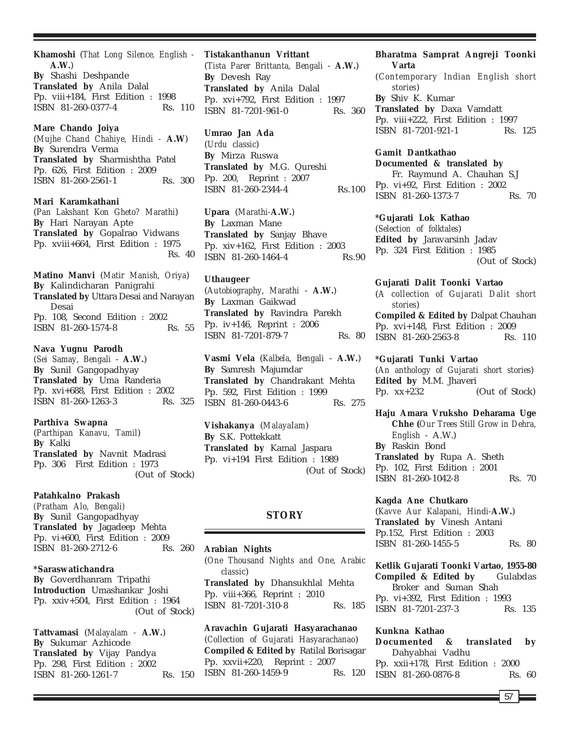**Khamoshi** (*That Long Silence, English -* **A.W.**) **By** Shashi Deshpande **Translated by** Anila Dalal Pp. viii+184, First Edition : 1998 ISBN 81-260-0377-4 Rs. 110

**Mare Chando Joiya** (*Mujhe Chand Chahiye, Hindi -* **A.W**) **By** Surendra Verma **Translated by** Sharmishtha Patel Pp. 626, First Edition : 2009 ISBN 81-260-2561-1 Rs. 300

**Mari Karamkathani** (*Pan Lakshant Kon Gheto? Marathi*) **By** Hari Narayan Apte **Translated by** Gopalrao Vidwans Pp. xviii+664, First Edition : 1975 Rs. 40

**Matino Manvi** (*Matir Manish, Oriya*) **By** Kalindicharan Panigrahi **Translated by** Uttara Desai and Narayan Desai Pp. 108, Second Edition : 2002 ISBN 81-260-1574-8 Rs. 55

#### **Nava Yugnu Parodh**

(*Sei Samay, Bengali* - **A.W.**) **By** Sunil Gangopadhyay **Translated by** Uma Randeria Pp. xvi+688, First Edition : 2002 ISBN 81-260-1263-3 Rs. 325

**Parthiva Swapna** (*Parthipan Kanavu, Tamil*) **By** Kalki **Translated by** Navnit Madrasi Pp. 306 First Edition : 1973 (Out of Stock)

# **Patahkalno Prakash**

*(Pratham Alo, Bengali)* **By** Sunil Gangopadhyay **Translated by** Jagadeep Mehta Pp. vi+600, First Edition : 2009 ISBN 81-260-2712-6 Rs. 260

#### **\*Saraswatichandra**

**By** Goverdhanram Tripathi **Introduction** Umashankar Joshi Pp. xxiv+504, First Edition : 1964 (Out of Stock)

**Tattvamasi** (*Malayalam -* **A.W.**) **By** Sukumar Azhicode **Translated by** Vijay Pandya Pp. 298, First Edition : 2002 ISBN 81-260-1261-7 Rs. 150 **Tistakanthanun Vrittant**

(*Tista Parer Brittanta, Bengali* - **A.W.**) **By** Devesh Ray **Translated by** Anila Dalal Pp. xvi+792, First Edition : 1997 ISBN 81-7201-961-0 Rs. 360

**Umrao Jan Ada** (*Urdu classic*) **By** Mirza Ruswa **Translated by** M.G. Qureshi Pp. 200, Reprint : 2007 ISBN 81-260-2344-4 Rs.100

**Upara** (*Marathi-***A.W.**) **By** Laxman Mane **Translated by** Sanjay Bhave Pp. xiv+162, First Edition : 2003 ISBN 81-260-1464-4 Rs.90

**Uthaugeer** (*Autobiography, Marathi* - **A.W.**) **By** Laxman Gaikwad **Translated by** Ravindra Parekh Pp. iv+146, Reprint : 2006 ISBN 81-7201-879-7 Rs. 80

**Vasmi Vela** (*Kalbela, Bengali* - **A.W.**) **By** Samresh Majumdar **Translated by** Chandrakant Mehta Pp. 592, First Edition : 1999 ISBN 81-260-0443-6 Rs. 275

**Vishakanya** (*MalayaIam*) **By** S.K. Pottekkatt **Translated by** Kamal Jaspara Pp. vi+194 First Edition : 1989 (Out of Stock)

### **STORY**

**Arabian Nights** (*One Thousand Nights and One, Arabic classic*) **Translated by** Dhansukhlal Mehta Pp. viii+366, Reprint : 2010 ISBN 81-7201-310-8 Rs. 185

**Aravachin Gujarati Hasyarachanao** (*Collection of Gujarati Hasyarachanao*) **Compiled & Edited by** Ratilal Borisagar Pp. xxvii+220, Reprint : 2007 ISBN 81-260-1459-9 Rs. 120

**Bharatma Samprat Angreji Toonki Varta**

(*Contemporary Indian English short stories*) **By** Shiv K. Kumar **Translated by** Daxa Vamdatt Pp. viii+222, First Edition : 1997 ISBN 81-7201-921-1 Rs. 125

**Gamit Dantkathao Documented & translated by** Fr. Raymund A. Chauhan S.J Pp. vi+92, First Edition : 2002 ISBN 81-260-1373-7 Rs. 70

**\*Gujarati Lok Kathao** (*Selection of folktales*) **Edited by** Jaravarsinh Jadav Pp. 324 First Edition : 1985 (Out of Stock)

**Gujarati Dalit Toonki Vartao** (*A collection of Gujarati Dalit short stories*) **Compiled & Edited by** Dalpat Chauhan Pp. xvi+148, First Edition : 2009

ISBN 81-260-2563-8 Rs. 110

#### **\*Gujarati Tunki Vartao**

(*An anthology of Gujarati short stories*) **Edited by** M.M. Jhaveri Pp. xx+232 (Out of Stock)

**Haju Amara Vruksho Deharama Uge Chhe (***Our Trees Still Grow in Dehra, English* - A.W.) **By** Raskin Bond **Translated by** Rupa A. Sheth Pp. 102, First Edition : 2001 ISBN 81-260-1042-8 Rs. 70

#### **Kagda Ane Chutkaro**

(*Kavve Aur Kalapani, Hindi-***A.W.**) **Translated by** Vinesh Antani Pp.152, First Edition : 2003 ISBN 81-260-1455-5 Rs. 80

**Ketlik Gujarati Toonki Vartao, 1955-80 Compiled & Edited by** Gulabdas Broker and Suman Shah Pp. vi+392, First Edition : 1993 ISBN 81-7201-237-3 Rs. 135

#### **Kunkna Kathao**

**Documented & translated by** Dahyabhai Vadhu Pp. xxii+178, First Edition : 2000 ISBN 81-260-0876-8 Rs. 60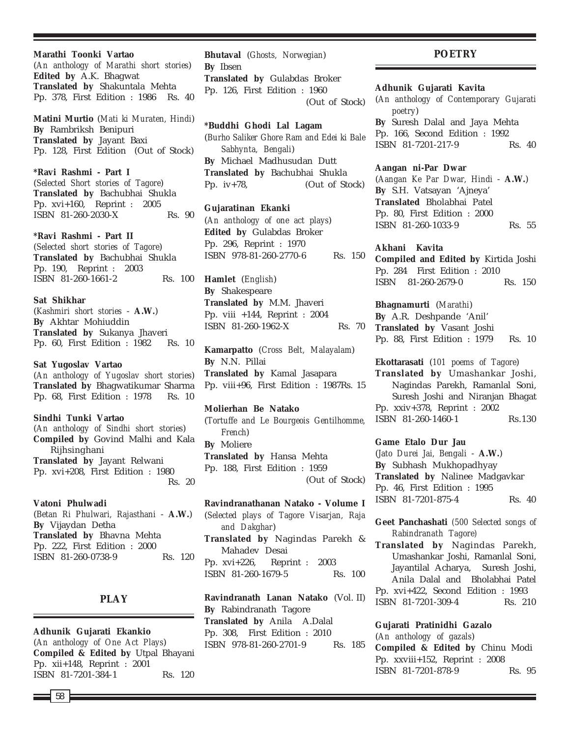**Marathi Toonki Vartao** (*An anthology of Marathi short stories*) **Edited by** A.K. Bhagwat **Translated by** Shakuntala Mehta Pp. 378, First Edition : 1986 Rs. 40

**Matini Murtio** (*Mati ki Muraten, Hindi*) **By** Rambriksh Benipuri **Translated by** Jayant Baxi Pp. 128, First Edition (Out of Stock)

**\*Ravi Rashmi - Part I** (*Selected Short stories of Tagore*) **Translated by** Bachubhai Shukla Pp. xvi+160, Reprint : 2005 ISBN 81-260-2030-X Rs. 90

**\*Ravi Rashmi - Part II** (*Selected short stories of Tagore*) **Translated by** Bachubhai Shukla Pp. 190, Reprint : 2003 ISBN 81-260-1661-2 Rs. 100

**Sat Shikhar** (*Kashmiri short stories* - **A.W.**) **By** Akhtar Mohiuddin **Translated by** Sukanya Jhaveri Pp. 60, First Edition : 1982 Rs. 10

**Sat Yugoslav Vartao** (*An anthology of Yugoslav short stories*) **Translated by** Bhagwatikumar Sharma Pp. 68, First Edition : 1978 Rs. 10

**Sindhi Tunki Vartao** (*An anthology of Sindhi short stories*) **Compiled by** Govind Malhi and Kala Rijhsinghani **Translated by** Jayant Relwani Pp. xvi+208, First Edition : 1980 Rs. 20

**Vatoni Phulwadi** (*Betan Ri Phulwari, Rajasthani* - **A.W.**) **By** Vijaydan Detha **Translated by** Bhavna Mehta Pp. 222, First Edition : 2000 ISBN 81-260-0738-9 Rs. 120

# **PLAY**

**Adhunik Gujarati Ekankio** (*An anthology of One Act Plays*) **Compiled & Edited by** Utpal Bhayani Pp. xii+148, Reprint : 2001 ISBN 81-7201-384-1 Rs. 120

**Bhutaval** (*Ghosts, Norwegian*) **By** Ibsen **Translated by** Gulabdas Broker Pp. 126, First Edition : 1960 (Out of Stock)

**\*Buddhi Ghodi Lal Lagam** (*Burho Saliker Ghore Ram and Edei ki Bale Sabhynta, Bengali*) **By** Michael Madhusudan Dutt **Translated by** Bachubhai Shukla Pp. iv+78, (Out of Stock)

**Gujaratinan Ekanki** (*An anthology of one act plays*) **Edited by** Gulabdas Broker Pp. 296, Reprint : 1970 ISBN 978-81-260-2770-6 Rs. 150

**Hamlet** (*English*) **By** Shakespeare **Translated by** M.M. Jhaveri Pp. viii +144, Reprint : 2004 ISBN 81-260-1962-X Rs. 70

**Kamarpatto** (*Cross Belt, Malayalam*) **By** N.N. Pillai **Translated by** Kamal Jasapara Pp. viii+96, First Edition : 1987Rs. 15

**Molierhan Be Natako** (*Tortuffe and Le Bourgeois Gentilhomme, French*) **By** Moliere **Translated by** Hansa Mehta Pp. 188, First Edition : 1959 (Out of Stock)

**Ravindranathanan Natako - Volume I** (*Selected plays of Tagore Visarjan, Raja and Dakghar*) **Translated by** Nagindas Parekh & Mahadev Desai Pp. xvi+226, Reprint : 2003 ISBN 81-260-1679-5 Rs. 100

**Ravindranath Lanan Natako** (Vol. II) **By** Rabindranath Tagore **Translated by** Anila A.Dalal Pp. 308, First Edition : 2010 ISBN 978-81-260-2701-9 Rs. 185

### **POETRY**

**Adhunik Gujarati Kavita**

(*An anthology of Contemporary Gujarati poetry*) **By** Suresh Dalal and Jaya Mehta Pp. 166, Second Edition : 1992 ISBN 81-7201-217-9 Rs. 40

**Aangan ni-Par Dwar**

(*Aangan Ke Par Dwar, Hindi* - **A.W.**) **By** S.H. Vatsayan 'Ajneya' **Translated** Bholabhai Patel Pp. 80, First Edition : 2000 ISBN 81-260-1033-9 Rs. 55

**Akhani Kavita Compiled and Edited by** Kirtida Joshi Pp. 284 First Edition : 2010 ISBN 81-260-2679-0 Rs. 150

**Bhagnamurti** (*Marathi*) **By** A.R. Deshpande 'Anil' **Translated by** Vasant Joshi Pp. 88, First Edition : 1979 Rs. 10

**Ekottarasati** (*101 poems of Tagore*) **Translated by** Umashankar Joshi, Nagindas Parekh, Ramanlal Soni, Suresh Joshi and Niranjan Bhagat Pp. xxiv+378, Reprint : 2002 ISBN 81-260-1460-1 Rs.130

**Game Etalo Dur Jau** (*Jato Durei Jai, Bengali* - **A.W.**) **By** Subhash Mukhopadhyay **Translated by** Nalinee Madgavkar Pp. 46, First Edition : 1995 ISBN 81-7201-875-4 Rs. 40

**Geet Panchashati** *(500 Selected songs of Rabindranath Tagore)*

**Translated by** Nagindas Parekh, Umashankar Joshi, Ramanlal Soni, Jayantilal Acharya, Suresh Joshi, Anila Dalal and Bholabhai Patel Pp. xvi+422, Second Edition : 1993 ISBN 81-7201-309-4 Rs. 210

**Gujarati Pratinidhi Gazalo** (*An anthology of gazals*) **Compiled & Edited by** Chinu Modi Pp. xxviii+152, Reprint : 2008 ISBN 81-7201-878-9 Rs. 95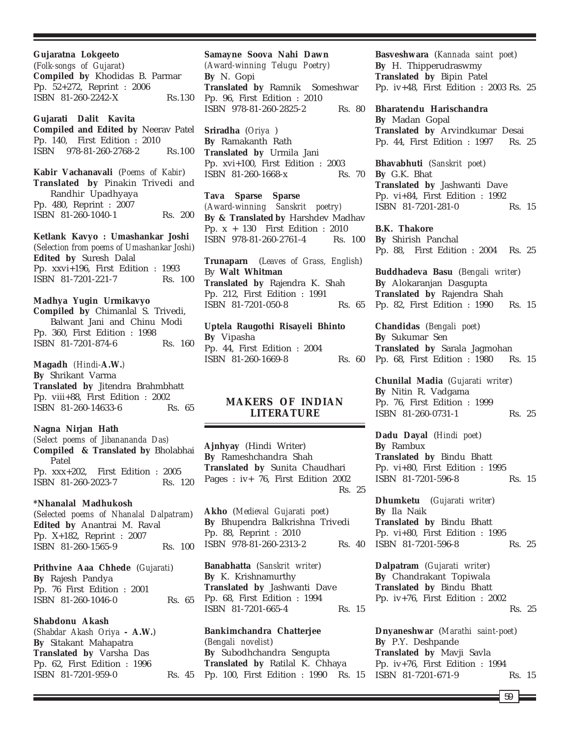**Gujaratna Lokgeeto** (*Folk-songs of Gujarat*) **Compiled by** Khodidas B. Parmar Pp. 52+272, Reprint : 2006 ISBN 81-260-2242-X Rs.130

**Gujarati Dalit Kavita Compiled and Edited by** Neerav Patel Pp. 140, First Edition : 2010 ISBN 978-81-260-2768-2 Rs.100

**Kabir Vachanavali** (*Poems of Kabir*) **Translated by** Pinakin Trivedi and Randhir Upadhyaya Pp. 480, Reprint : 2007 ISBN 81-260-1040-1 Rs. 200

**Ketlank Kavyo : Umashankar Joshi** (*Selection from poems of Umashankar Joshi*) **Edited by** Suresh Dalal Pp. xxvi+196, First Edition : 1993 ISBN 81-7201-221-7 Rs. 100

# **Madhya Yugin Urmikavyo**

**Compiled by** Chimanlal S. Trivedi, Balwant Jani and Chinu Modi Pp. 360, First Edition : 1998 ISBN 81-7201-874-6 Rs. 160

**Magadh** *(Hindi-***A.W.***)* **By** Shrikant Varma **Translated by** Jitendra Brahmbhatt Pp. viii+88, First Edition : 2002 ISBN 81-260-14633-6 Rs. 65

**Nagna Nirjan Hath** *(Select poems of Jibanananda Das)* **Compiled & Translated by** Bholabhai Patel Pp. xxx+202, First Edition : 2005 ISBN 81-260-2023-7 Rs. 120

### **\*Nhanalal Madhukosh** (*Selected poems of Nhanalal Dalpatram*) **Edited by** Anantrai M. Raval Pp. X+182, Reprint : 2007

ISBN 81-260-1565-9 Rs. 100

**Prithvine Aaa Chhede** (*Gujarati*) **By** Rajesh Pandya Pp. 76 First Edition : 2001 ISBN 81-260-1046-0 Rs. 65

#### **Shabdonu Akash**

(*Shabdar Akash Oriya* **- A.W.**) **By** Sitakant Mahapatra **Translated by** Varsha Das Pp. 62, First Edition : 1996 ISBN 81-7201-959-0 Rs. 45

**Samayne Soova Nahi Dawn** *(Award-winning Telugu Poetry)* **By** N. Gopi **Translated by** Ramnik Someshwar Pp. 96, First Edition : 2010 ISBN 978-81-260-2825-2 Rs. 80

**Sriradha** (*Oriya* ) **By** Ramakanth Rath **Translated by** Urmila Jani Pp. xvi+100, First Edition : 2003 ISBN 81-260-1668-x Rs. 70

**Tava Sparse Sparse** *(Award-winning Sanskrit poetry)* **By & Translated by** Harshdev Madhav Pp. x + 130 First Edition : 2010 ISBN 978-81-260-2761-4 Rs. 100

**Trunaparn** (*Leaves of Grass, English*) By **Walt Whitman Translated by** Rajendra K. Shah Pp. 212, First Edition : 1991 ISBN 81-7201-050-8 Rs. 65

**Uptela Raugothi Risayeli Bhinto By** Vipasha Pp. 44, First Edition : 2004 ISBN 81-260-1669-8 Rs. 60

# **MAKERS OF INDIAN LITERATURE**

**Ajnhyay** (Hindi Writer) **By** Rameshchandra Shah **Translated by** Sunita Chaudhari Pages : iv+ 76, First Edition 2002 Rs. 25

**Akho** (*Medieval Gujarati poet*) **By** Bhupendra Balkrishna Trivedi Pp. 88, Reprint : 2010 ISBN 978-81-260-2313-2 Rs. 40

**Banabhatta** (*Sanskrit writer*) **By** K. Krishnamurthy **Translated by** Jashwanti Dave Pp. 68, First Edition : 1994 ISBN 81-7201-665-4 Rs. 15

**Bankimchandra Chatterjee** (*Bengali novelist*) **By** Subodhchandra Sengupta **Translated by** Ratilal K. Chhaya Pp. 100, First Edition : 1990 Rs. 15 **Basveshwara** (*Kannada saint poet*) **By** H. Thipperudraswmy **Translated by** Bipin Patel Pp. iv+48, First Edition : 2003 Rs. 25

**Bharatendu Harischandra By** Madan Gopal **Translated by** Arvindkumar Desai Pp. 44, First Edition : 1997 Rs. 25

**Bhavabhuti** (*Sanskrit poet*) **By** G.K. Bhat **Translated by** Jashwanti Dave Pp. vi+84, First Edition : 1992 ISBN 81-7201-281-0 Rs. 15

**B.K. Thakore By** Shirish Panchal Pp. 88, First Edition : 2004 Rs. 25

**Buddhadeva Basu** (*Bengali writer*) **By** Alokaranjan Dasgupta **Translated by** Rajendra Shah Pp. 82, First Edition : 1990 Rs. 15

**Chandidas** (*Bengali poet*) **By** Sukumar Sen **Translated by** Sarala Jagmohan Pp. 68, First Edition : 1980 Rs. 15

**Chunilal Madia** (*Gujarati writer*) **By** Nitin R. Vadgama Pp. 76, First Edition : 1999 ISBN 81-260-0731-1 Rs. 25

**Dadu Dayal** (*Hindi poet*) **By** Rambux **Translated by** Bindu Bhatt Pp. vi+80, First Edition : 1995 ISBN 81-7201-596-8 Rs. 15

**Dhumketu** (*Gujarati writer*) **By** Ila Naik **Translated by** Bindu Bhatt Pp. vi+80, First Edition : 1995 ISBN 81-7201-596-8 Rs. 25

**Dalpatram** (*Gujarati writer*) **By** Chandrakant Topiwala **Translated by** Bindu Bhatt Pp. iv+76, First Edition : 2002 Rs. 25

**Dnyaneshwar** (*Marathi saint-poet*) **By** P.Y. Deshpande **Translated by** Mavji Savla Pp. iv+76, First Edition : 1994 ISBN 81-7201-671-9 Rs. 15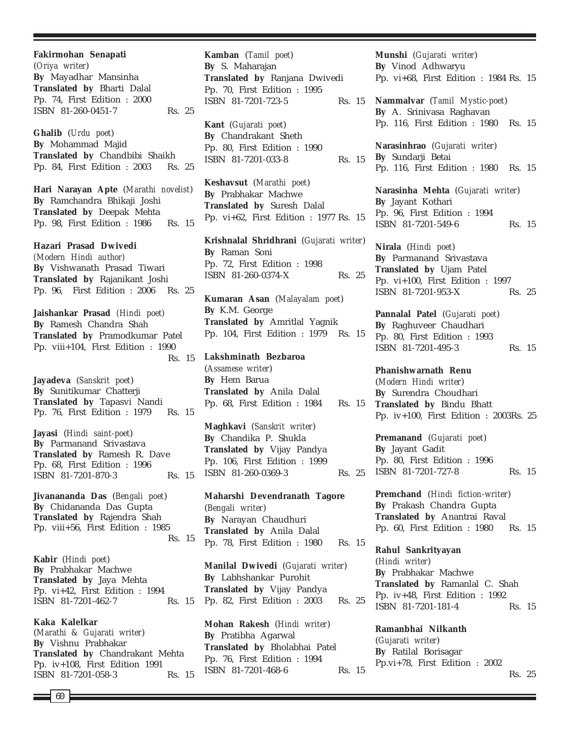**Fakirmohan Senapati** (*Oriya writer*) **By** Mayadhar Mansinha **Translated by** Bharti Dalal Pp. 74, First Edition : 2000 ISBN 81-260-0451-7 Rs. 25

**Ghalib** (*Urdu poet*) **By** Mohammad Majid **Translated by** Chandbibi Shaikh Pp. 84, First Edition : 2003 Rs. 25

**Hari Narayan Apte** (*Marathi novelist*) **By** Ramchandra Bhikaji Joshi **Translated by** Deepak Mehta Pp. 98, First Edition : 1986 Rs. 15

**Hazari Prasad Dwivedi** *(Modern Hindi author)* **By** Vishwanath Prasad Tiwari **Translated by** Rajanikant Joshi Pp. 96, First Edition : 2006 Rs. 25

**Jaishankar Prasad** *(Hindi poet)* **By** Ramesh Chandra Shah **Translated by** Pramodkumar Patel Pp. viii+104, First Edition : 1990 Rs. 15

**Jayadeva** (*Sanskrit poet*) **By** Sunitikumar Chatterji **Translated by** Tapasvi Nandi Pp. 76, First Edition : 1979 Rs. 15

**Jayasi** (*Hindi saint-poet*) **By** Parmanand Srivastava **Translated by** Ramesh R. Dave Pp. 68, First Edition : 1996 ISBN 81-7201-870-3 Rs. 15

**Jivanananda Das** (*Bengali poet*) **By** Chidananda Das Gupta **Translated by** Rajendra Shah Pp. viii+56, First Edition : 1985 Rs. 15

**Kabir** (*Hindi poet*) **By** Prabhakar Machwe **Translated by** Jaya Mehta Pp. vi+42, First Edition : 1994 ISBN 81-7201-462-7 Rs. 15

**Kaka Kalelkar** (*Marathi & Gujarati writer*) **By** Vishnu Prabhakar **Translated by** Chandrakant Mehta Pp. iv+108, First Edition 1991 ISBN 81-7201-058-3 Rs. 15 **Kamban** (*Tamil poet*) **By** S. Maharajan **Translated by** Ranjana Dwivedi Pp. 70, First Edition : 1995 ISBN 81-7201-723-5 Rs. 15

**Kant** (*Gujarati poet*) **By** Chandrakant Sheth Pp. 80, First Edition : 1990 ISBN 81-7201-033-8 Rs. 15

**Keshavsut** (*Marathi poet*) **By** Prabhakar Machwe **Translated by** Suresh Dalal Pp. vi+62, First Edition : 1977 Rs. 15

**Krishnalal Shridhrani** (*Gujarati writer*) **By** Raman Soni Pp. 72, First Edition : 1998 ISBN 81-260-0374-X Rs. 25

**Kumaran Asan** (*Malayalam poet*) **By** K.M. George **Translated by** Amritlal Yagnik Pp. 104, First Edition : 1979 Rs. 15

**Lakshminath Bezbaroa** (*Assamese writer*) **By** Hem Barua **Translated by** Anila Dalal

**Maghkavi** (*Sanskrit writer*) **By** Chandika P. Shukla **Translated by** Vijay Pandya Pp. 106, First Edition : 1999 ISBN 81-260-0369-3

Pp. 68, First Edition : 1984 Rs. 15

**Maharshi Devendranath Tagore** (*Bengali writer*) **By** Narayan Chaudhuri **Translated by** Anila Dalal Pp. 78, First Edition : 1980 Rs. 15

**Manilal Dwivedi** (*Gujarati writer*) **By** Labhshankar Purohit **Translated by** Vijay Pandya Pp. 82, First Edition : 2003 Rs. 25

**Mohan Rakesh** (*Hindi writer*) **By** Pratibha Agarwal **Translated by** Bholabhai Patel Pp. 76, First Edition : 1994 ISBN 81-7201-468-6 Rs. 15 **Munshi** (*Gujarati writer*) **By** Vinod Adhwaryu Pp. vi+68, First Edition : 1984 Rs. 15

**Nammalvar** (*Tamil Mystic-poet*) **By** A. Srinivasa Raghavan Pp. 116, First Edition : 1980 Rs. 15

**Narasinhrao** (*Gujarati writer*) **By** Sundarji Betai Pp. 116, First Edition : 1980 Rs. 15

**Narasinha Mehta** (*Gujarati writer*) **By** Jayant Kothari Pp. 96, First Edition : 1994 ISBN 81-7201-549-6 Rs. 15

**Nirala** (*Hindi poet*) **By** Parmanand Srivastava **Translated by** Ujam Patel Pp. vi+100, First Edition : 1997 ISBN 81-7201-953-X Rs. 25

**Pannalal Patel** (*Gujarati poet*) **By** Raghuveer Chaudhari Pp. 80, First Edition : 1993 ISBN 81-7201-495-3 Rs. 15

**Phanishwarnath Renu** (*Modern Hindi writer*) **By** Surendra Choudhari **Translated by** Bindu Bhatt Pp. iv+100, First Edition : 2003Rs. 25

**Premanand** (*Gujarati poet*) **By** Jayant Gadit Pp. 80, First Edition : 1996 Rs. 25 ISBN 81-7201-727-8 Rs. 15

> **Premchand** (*Hindi fiction-writer*) **By** Prakash Chandra Gupta **Translated by** Anantrai Raval Pp. 60, First Edition : 1980 Rs. 15

> **Rahul Sankrityayan** (*Hindi writer*) **By** Prabhakar Machwe **Translated by** Ramanlal C. Shah Pp. iv+48, First Edition : 1992 ISBN 81-7201-181-4 Rs. 15

> **Ramanbhai Nilkanth** (*Gujarati writer*) **By** Ratilal Borisagar Pp.vi+78, First Edition : 2002 Rs. 25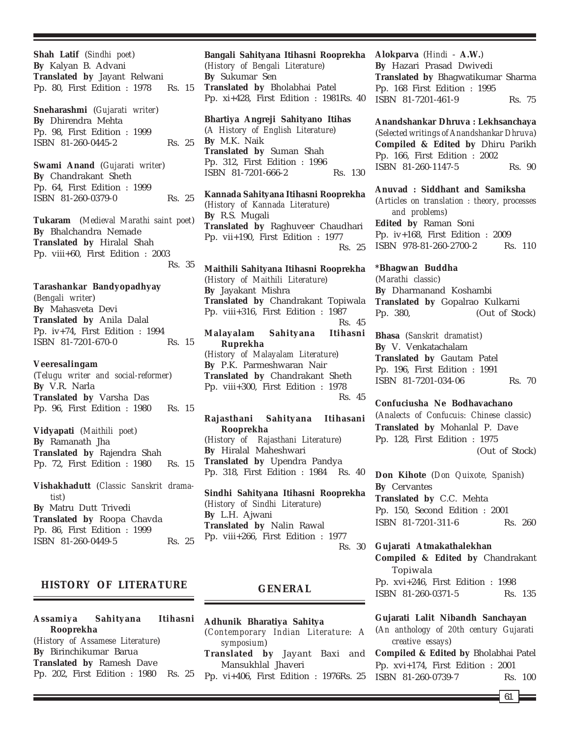**Shah Latif** (*Sindhi poet*) **By** Kalyan B. Advani **Translated by** Jayant Relwani Pp. 80, First Edition : 1978 Rs. 15 **Sneharashmi** (*Gujarati writer*) **By** Dhirendra Mehta Pp. 98, First Edition : 1999 ISBN 81-260-0445-2 Rs. 25 **Swami Anand** (*Gujarati writer*) **By** Chandrakant Sheth Pp. 64, First Edition : 1999 ISBN 81-260-0379-0 Rs. 25 **Tukaram** (*Medieval Marathi saint poet*) **By** Bhalchandra Nemade **Translated by** Hiralal Shah Pp. viii+60, First Edition : 2003 Rs. 35 **Tarashankar Bandyopadhyay** (*Bengali writer*) **By** Mahasveta Devi **Translated by** Anila Dalal Pp. iv+74, First Edition : 1994 ISBN 81-7201-670-0 Rs. 15 **Veeresalingam** (*Telugu writer and social-reformer*) **By** V.R. Narla **Translated by** Varsha Das Pp. 96, First Edition : 1980 Rs. 15 **Vidyapati** (*Maithili poet*) **By** Ramanath Jha **Translated by** Rajendra Shah Pp. 72, First Edition : 1980 Rs. 15 **Vishakhadutt** (*Classic Sanskrit dramatist*) **By** Matru Dutt Trivedi **Translated by** Roopa Chavda Pp. 86, First Edition : 1999 ISBN 81-260-0449-5 Rs. 25

# **HISTORY OF LITERATURE**

**Assamiya Sahityana Itihasni Rooprekha** (*History of Assamese Literature*) **By** Birinchikumar Barua **Translated by** Ramesh Dave Pp. 202, First Edition : 1980 Rs. 25

**Bangali Sahityana Itihasni Rooprekha** (*History of Bengali Literature*) **By** Sukumar Sen **Translated by** Bholabhai Patel Pp. xi+428, First Edition : 1981Rs. 40

**Bhartiya Angreji Sahityano Itihas** (*A History of English Literature*) **By** M.K. Naik **Translated by** Suman Shah Pp. 312, First Edition : 1996 ISBN 81-7201-666-2 Rs. 130

**Kannada Sahityana Itihasni Rooprekha** (*History of Kannada Literature*) **By** R.S. Mugali **Translated by** Raghuveer Chaudhari Pp. vii+190, First Edition : 1977 Rs. 25

**Maithili Sahityana Itihasni Rooprekha** (*History of Maithili Literature*) **By** Jayakant Mishra **Translated by** Chandrakant Topiwala Pp. viii+316, First Edition : 1987 Rs. 45 **Malayalam Sahityana Itihasni Ruprekha** (*History of Malayalam Literature*) **By** P.K. Parmeshwaran Nair **Translated by** Chandrakant Sheth Pp. viii+300, First Edition : 1978 Rs. 45

**Rajasthani Sahityana Itihasani Rooprekha** (*History of Rajasthani Literature*) **By** Hiralal Maheshwari **Translated by** Upendra Pandya Pp. 318, First Edition : 1984 Rs. 40

**Sindhi Sahityana Itihasni Rooprekha** (*History of Sindhi Literature*) **By** L.H. Ajwani **Translated by** Nalin Rawal Pp. viii+266, First Edition : 1977 Rs. 30

# **GENERAL**

**Adhunik Bharatiya Sahitya** (*Contemporary Indian Literature: A symposium*) **Translated by** Jayant Baxi and Mansukhlal Jhaveri

Pp. vi+406, First Edition : 1976Rs. 25

# **Alokparva** (*Hindi* - **A.W.**)

**By** Hazari Prasad Dwivedi **Translated by** Bhagwatikumar Sharma Pp. 168 First Edition : 1995 ISBN 81-7201-461-9 Rs. 75

**Anandshankar Dhruva : Lekhsanchaya** (*Selected writings of Anandshankar Dhruva*) **Compiled & Edited by** Dhiru Parikh Pp. 166, First Edition : 2002 ISBN 81-260-1147-5 Rs. 90

**Anuvad : Siddhant and Samiksha** (*Articles on translation : theory, processes and problems*) **Edited by** Raman Soni Pp. iv+168, First Edition : 2009 ISBN 978-81-260-2700-2 Rs. 110

**\*Bhagwan Buddha** (*Marathi classic*) **By** Dharmanand Koshambi **Translated by** Gopalrao Kulkarni Pp. 380, (Out of Stock)

**Bhasa** (*Sanskrit dramatist*) **By** V. Venkatachalam **Translated by** Gautam Patel Pp. 196, First Edition : 1991 ISBN 81-7201-034-06 Rs. 70

**Confuciusha Ne Bodhavachano** (*Analects of Confucuis: Chinese classic*) **Translated by** Mohanlal P. Dave Pp. 128, First Edition : 1975 (Out of Stock)

**Don Kihote** (*Don Quixote, Spanish*) **By** Cervantes **Translated by** C.C. Mehta Pp. 150, Second Edition : 2001 ISBN 81-7201-311-6 Rs. 260

**Gujarati Atmakathalekhan Compiled & Edited by** Chandrakant Topiwala Pp. xvi+246, First Edition : 1998 ISBN 81-260-0371-5 Rs. 135

**Gujarati Lalit Nibandh Sanchayan** (*An anthology of 20th century Gujarati creative essays*) **Compiled & Edited by** Bholabhai Patel Pp. xvi+174, First Edition : 2001 ISBN 81-260-0739-7 Rs. 100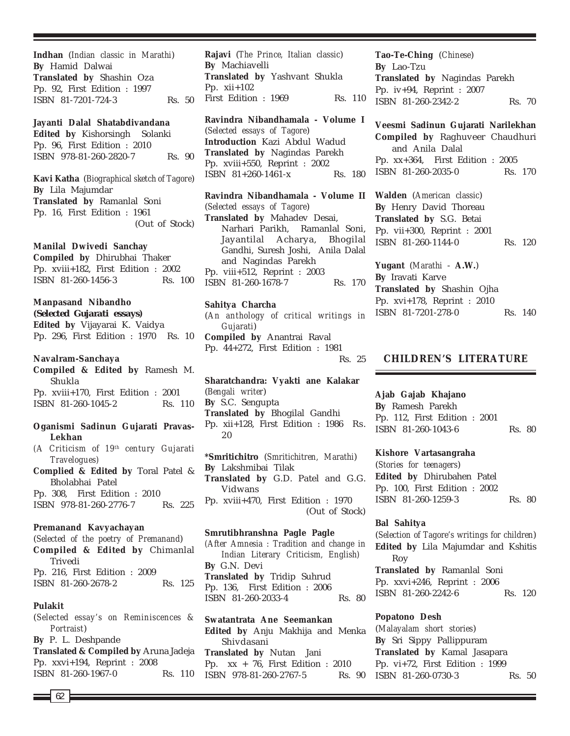**Indhan** (*Indian classic in Marathi*) **By** Hamid Dalwai **Translated by** Shashin Oza Pp. 92, First Edition : 1997 ISBN 81-7201-724-3 Rs. 50

**Jayanti Dalal Shatabdivandana Edited by** Kishorsingh Solanki Pp. 96, First Edition : 2010 ISBN 978-81-260-2820-7 Rs. 90

**Kavi Katha** (*Biographical sketch of Tagore*) **By** Lila Majumdar **Translated by** Ramanlal Soni Pp. 16, First Edition : 1961 (Out of Stock)

**Manilal Dwivedi Sanchay**

**Compiled by** Dhirubhai Thaker Pp. xviii+182, First Edition : 2002 ISBN 81-260-1456-3 Rs. 100

### **Manpasand Nibandho**

**(***Selected Gujarati essays***) Edited by** Vijayarai K. Vaidya Pp. 296, First Edition : 1970 Rs. 10

### **Navalram-Sanchaya**

**Compiled & Edited by** Ramesh M. Shukla Pp. xviii+170, First Edition : 2001 ISBN 81-260-1045-2 Rs. 110

# **Oganismi Sadinun Gujarati Pravas-Lekhan**

*(A Criticism of 19th century Gujarati Travelogues)*

**Complied & Edited by** Toral Patel & Bholabhai Patel Pp. 308, First Edition : 2010 ISBN 978-81-260-2776-7 Rs. 225

# **Premanand Kavyachayan**

(*Selected of the poetry of Premanand*) **Compiled & Edited by** Chimanlal Trivedi Pp. 216, First Edition : 2009 ISBN 81-260-2678-2 Rs. 125

# **Pulakit**

(*Selected essay's on Reminiscences & Portraist*) **By** P. L. Deshpande **Translated & Compiled by** Aruna Jadeja Pp. xxvi+194, Reprint : 2008 ISBN 81-260-1967-0 Rs. 110

**Rajavi** (*The Prince, Italian classic*) **By** Machiavelli **Translated by** Yashvant Shukla Pp. xii+102 First Edition : 1969 Rs. 110

**Ravindra Nibandhamala - Volume I** (*Selected essays of Tagore*) **Introduction** Kazi Abdul Wadud **Translated by** Nagindas Parekh Pp. xviii+550, Reprint : 2002  $ISBN \ 81+260-1461-x$  Rs. 180

**Ravindra Nibandhamala - Volume II** (*Selected essays of Tagore*) **Translated by** Mahadev Desai, Narhari Parikh, Ramanlal Soni, Jayantilal Acharya, Bhogilal Gandhi, Suresh Joshi, Anila Dalal and Nagindas Parekh Pp. viii+512, Reprint : 2003 ISBN 81-260-1678-7 Rs. 170

# **Sahitya Charcha**

(*An anthology of critical writings in Gujarati*) **Compiled by** Anantrai Raval Pp. 44+272, First Edition : 1981 Rs. 25

**Sharatchandra: Vyakti ane Kalakar** (*Bengali writer*) **By** S.C. Sengupta **Translated by** Bhogilal Gandhi Pp. xii+128, First Edition : 1986 Rs. 20

**\*Smritichitro** (*Smritichitren, Marathi*) **By** Lakshmibai Tilak **Translated by** G.D. Patel and G.G. Vidwans Pp. xviii+470, First Edition : 1970 (Out of Stock)

#### **Smrutibhranshna Pagle Pagle**

*(After Amnesia : Tradition and change in Indian Literary Criticism, English)* **By** G.N. Devi **Translated by** Tridip Suhrud Pp. 136, First Edition : 2006 ISBN 81-260-2033-4 Rs. 80

**Swatantrata Ane Seemankan Edited by** Anju Makhija and Menka Shivdasani **Translated by** Nutan Jani Pp. xx + 76, First Edition : 2010 ISBN 978-81-260-2767-5 Rs. 90

**Tao-Te-Ching** (*Chinese*) **By** Lao-Tzu **Translated by** Nagindas Parekh Pp. iv+94, Reprint : 2007 ISBN 81-260-2342-2 Rs. 70

**Veesmi Sadinun Gujarati Narilekhan Compiled by** Raghuveer Chaudhuri and Anila Dalal Pp. xx+364, First Edition : 2005 ISBN 81-260-2035-0 Rs. 170

**Walden** (*American classic*) **By** Henry David Thoreau **Translated by** S.G. Betai Pp. vii+300, Reprint : 2001 ISBN 81-260-1144-0 Rs. 120

**Yugant** (*Marathi* - **A.W.**) **By** Iravati Karve **Translated by** Shashin Ojha Pp. xvi+178, Reprint : 2010 ISBN 81-7201-278-0 Rs. 140

# **CHILDREN'S LITERATURE**

#### **Ajab Gajab Khajano**

**By** Ramesh Parekh Pp. 112, First Edition : 2001 ISBN 81-260-1043-6 Rs. 80

#### **Kishore Vartasangraha**

(*Stories for teenagers*) **Edited by** Dhirubahen Patel Pp. 100, First Edition : 2002 ISBN 81-260-1259-3 Rs. 80

### **Bal Sahitya**

(*Selection of Tagore's writings for children*) **Edited by** Lila Majumdar and Kshitis Roy **Translated by** Ramanlal Soni Pp. xxvi+246, Reprint : 2006 ISBN 81-260-2242-6 Rs. 120

#### **Popatono Desh**

(*Malayalam short stories*) **By** Sri Sippy Pallippuram **Translated by** Kamal Jasapara Pp. vi+72, First Edition : 1999 ISBN 81-260-0730-3 Rs. 50